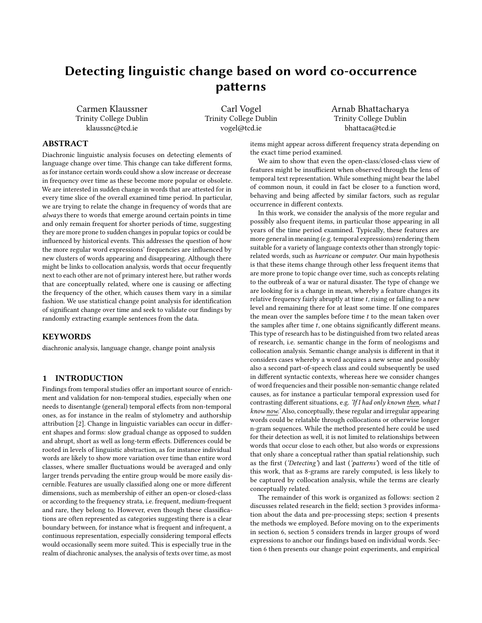# Detecting linguistic change based on word co-occurrence patterns

Carmen Klaussner Trinity College Dublin klaussnc@tcd.ie

Carl Vogel Trinity College Dublin vogel@tcd.ie

Arnab Bhattacharya Trinity College Dublin bhattaca@tcd.ie

# ABSTRACT

Diachronic linguistic analysis focuses on detecting elements of language change over time. This change can take different forms, as for instance certain words could show a slow increase or decrease in frequency over time as these become more popular or obsolete. We are interested in sudden change in words that are attested for in every time slice of the overall examined time period. In particular, we are trying to relate the change in frequency of words that are always there to words that emerge around certain points in time and only remain frequent for shorter periods of time, suggesting they are more prone to sudden changes in popular topics or could be influenced by historical events. This addresses the question of how the more regular word expressions' frequencies are influenced by new clusters of words appearing and disappearing. Although there might be links to collocation analysis, words that occur frequently next to each other are not of primary interest here, but rather words that are conceptually related, where one is causing or affecting the frequency of the other, which causes them vary in a similar fashion. We use statistical change point analysis for identification of significant change over time and seek to validate our findings by randomly extracting example sentences from the data.

## **KEYWORDS**

diachronic analysis, language change, change point analysis

#### 1 INTRODUCTION

Findings from temporal studies offer an important source of enrichment and validation for non-temporal studies, especially when one needs to disentangle (general) temporal effects from non-temporal ones, as for instance in the realm of stylometry and authorship attribution [\[2\]](#page-7-0). Change in linguistic variables can occur in different shapes and forms: slow gradual change as opposed to sudden and abrupt, short as well as long-term effects. Differences could be rooted in levels of linguistic abstraction, as for instance individual words are likely to show more variation over time than entire word classes, where smaller fluctuations would be averaged and only larger trends pervading the entire group would be more easily discernible. Features are usually classified along one or more different dimensions, such as membership of either an open-or closed-class or according to the frequency strata, i.e. frequent, medium-frequent and rare, they belong to. However, even though these classifications are often represented as categories suggesting there is a clear boundary between, for instance what is frequent and infrequent, a continuous representation, especially considering temporal effects would occasionally seem more suited. This is especially true in the realm of diachronic analyses, the analysis of texts over time, as most

items might appear across different frequency strata depending on the exact time period examined.

We aim to show that even the open-class/closed-class view of features might be insufficient when observed through the lens of temporal text representation. While something might bear the label of common noun, it could in fact be closer to a function word, behaving and being affected by similar factors, such as regular occurrence in different contexts.

In this work, we consider the analysis of the more regular and possibly also frequent items, in particular those appearing in all years of the time period examined. Typically, these features are more general in meaning (e.g. temporal expressions) rendering them suitable for a variety of language contexts other than strongly topicrelated words, such as hurricane or computer. Our main hypothesis is that these items change through other less frequent items that are more prone to topic change over time, such as concepts relating to the outbreak of a war or natural disaster. The type of change we are looking for is a change in mean, whereby a feature changes its relative frequency fairly abruptly at time  $t$ , rising or falling to a new level and remaining there for at least some time. If one compares the mean over the samples before time  $t$  to the mean taken over the samples after time  $t$ , one obtains significantly different means. This type of research has to be distinguished from two related areas of research, i.e. semantic change in the form of neologisms and collocation analysis. Semantic change analysis is different in that it considers cases whereby a word acquires a new sense and possibly also a second part-of-speech class and could subsequently be used in different syntactic contexts, whereas here we consider changes of word frequencies and their possible non-semantic change related causes, as for instance a particular temporal expression used for contrasting different situations, e.g. 'If I had only known then, what I know now.' Also, conceptually, these regular and irregular appearing words could be relatable through collocations or otherwise longer n-gram sequences. While the method presented here could be used for their detection as well, it is not limited to relationships between words that occur close to each other, but also words or expressions that only share a conceptual rather than spatial relationship, such as the first ('Detecting') and last ('patterns') word of the title of this work, that as 8-grams are rarely computed, is less likely to be captured by collocation analysis, while the terms are clearly conceptually related.

The remainder of this work is organized as follows: section [2](#page-1-0) discusses related research in the field; section [3](#page-1-1) provides information about the data and pre-processing steps; section [4](#page-2-0) presents the methods we employed. Before moving on to the experiments in section [6,](#page-4-0) section [5](#page-3-0) considers trends in larger groups of word expressions to anchor our findings based on individual words. Section [6](#page-4-0) then presents our change point experiments, and empirical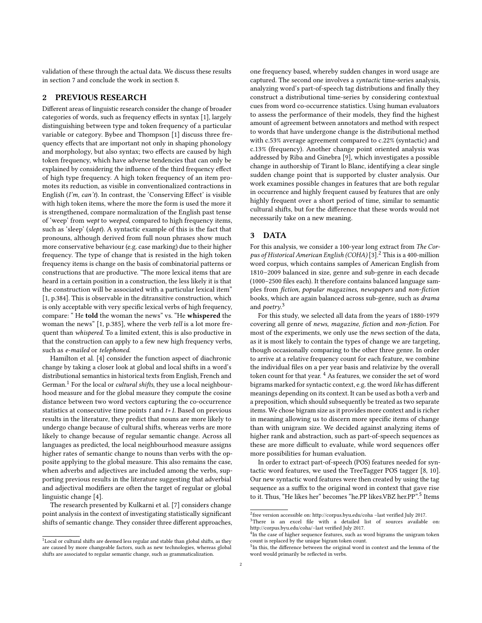validation of these through the actual data. We discuss these results in section [7](#page-6-0) and conclude the work in section [8.](#page-7-1)

# <span id="page-1-0"></span>2 PREVIOUS RESEARCH

Different areas of linguistic research consider the change of broader categories of words, such as frequency effects in syntax [\[1\]](#page-7-2), largely distinguishing between type and token frequency of a particular variable or category. Bybee and Thompson [\[1\]](#page-7-2) discuss three frequency effects that are important not only in shaping phonology and morphology, but also syntax; two effects are caused by high token frequency, which have adverse tendencies that can only be explained by considering the influence of the third frequency effect of high type frequency. A high token frequency of an item promotes its reduction, as visible in conventionalized contractions in English (I'm, can't). In contrast, the 'Conserving Effect' is visible with high token items, where the more the form is used the more it is strengthened, compare normalization of the English past tense of 'weep' from wept to weeped, compared to high frequency items, such as 'sleep' (slept). A syntactic example of this is the fact that pronouns, although derived from full noun phrases show much more conservative behaviour (e.g. case marking) due to their higher frequency. The type of change that is resisted in the high token frequency items is change on the basis of combinatorial patterns or constructions that are productive. "The more lexical items that are heard in a certain position in a construction, the less likely it is that the construction will be associated with a particular lexical item" [\[1,](#page-7-2) p.384]. This is observable in the ditransitive construction, which is only acceptable with very specific lexical verbs of high frequency, compare: " He told the woman the news" vs. "He whispered the woman the news" [\[1,](#page-7-2) p.385], where the verb tell is a lot more frequent than whispered. To a limited extent, this is also productive in that the construction can apply to a few new high frequency verbs, such as e-mailed or telephoned.

Hamilton et al. [\[4\]](#page-7-3) consider the function aspect of diachronic change by taking a closer look at global and local shifts in a word's distributional semantics in historical texts from English, French and German.<sup>[1](#page-1-2)</sup> For the local or *cultural shifts*, they use a local neighbourhood measure and for the global measure they compute the cosine distance between two word vectors capturing the co-occurrence statistics at consecutive time points  $t$  and  $t+1$ . Based on previous results in the literature, they predict that nouns are more likely to undergo change because of cultural shifts, whereas verbs are more likely to change because of regular semantic change. Across all languages as predicted, the local neighbourhood measure assigns higher rates of semantic change to nouns than verbs with the opposite applying to the global measure. This also remains the case, when adverbs and adjectives are included among the verbs, supporting previous results in the literature suggesting that adverbial and adjectival modifiers are often the target of regular or global linguistic change [\[4\]](#page-7-3).

The research presented by Kulkarni et al. [\[7\]](#page-7-4) considers change point analysis in the context of investigating statistically significant shifts of semantic change. They consider three different approaches,

one frequency based, whereby sudden changes in word usage are captured. The second one involves a syntactic time-series analysis, analyzing word's part-of-speech tag distributions and finally they construct a distributional time-series by considering contextual cues from word co-occurrence statistics. Using human evaluators to assess the performance of their models, they find the highest amount of agreement between annotators and method with respect to words that have undergone change is the distributional method with c.53% average agreement compared to c.22% (syntactic) and c.13% (frequency). Another change point oriented analysis was addressed by Riba and Ginebra [\[9\]](#page-7-5), which investigates a possible change in authorship of Tirant lo Blanc, identifying a clear single sudden change point that is supported by cluster analysis. Our work examines possible changes in features that are both regular in occurrence and highly frequent caused by features that are only highly frequent over a short period of time, similar to semantic cultural shifts, but for the difference that these words would not necessarily take on a new meaning.

#### <span id="page-1-1"></span>3 DATA

For this analysis, we consider a 100-year long extract from The Cor-pus of Historical American English (COHA) [\[3\]](#page-7-6).<sup>[2](#page-1-3)</sup> This is a 400-million word corpus, which contains samples of American English from 1810–2009 balanced in size, genre and sub-genre in each decade (1000–2500 files each). It therefore contains balanced language samples from fiction, popular magazines, newspapers and non-fiction books, which are again balanced across sub-genre, such as drama and *poetry*.<sup>[3](#page-1-4)</sup>

For this study, we selected all data from the years of 1880-1979 covering all genre of news, magazine, fiction and non-fiction. For most of the experiments, we only use the news section of the data, as it is most likely to contain the types of change we are targeting, though occasionally comparing to the other three genre. In order to arrive at a relative frequency count for each feature, we combine the individual files on a per year basis and relativize by the overall token count for that year. [4](#page-1-5) As features, we consider the set of word bigrams marked for syntactic context, e.g. the word like has different meanings depending on its context. It can be used as both a verb and a preposition, which should subsequently be treated as two separate items. We chose bigram size as it provides more context and is richer in meaning allowing us to discern more specific items of change than with unigram size. We decided against analyzing items of higher rank and abstraction, such as part-of-speech sequences as these are more difficult to evaluate, while word sequences offer more possibilities for human evaluation.

In order to extract part-of-speech (POS) features needed for syntactic word features, we used the TreeTagger POS tagger [\[8,](#page-7-7) [10\]](#page-7-8). Our new syntactic word features were then created by using the tag sequence as a suffix to the original word in context that gave rise to it. Thus, "He likes her" becomes "he.PP likes.VBZ her.PP".[5](#page-1-6) Items

<span id="page-1-2"></span> $^{\rm 1}$  Local or cultural shifts are deemed less regular and stable than global shifts, as they are caused by more changeable factors, such as new technologies, whereas global shifts are associated to regular semantic change, such as grammaticalization.

<span id="page-1-3"></span> $2$ free version accessible on: http://corpus.byu.edu/coha -last verified July 2017.

<span id="page-1-4"></span><sup>&</sup>lt;sup>3</sup>There is an excel file with a detailed list of sources available on: http://corpus.byu.edu/coha/–last verified July 2017.

<span id="page-1-5"></span> $^{4}$ In the case of higher sequence features, such as word bigrams the unigram token count is replaced by the unique bigram token count.

<span id="page-1-6"></span><sup>&</sup>lt;sup>5</sup>In this, the difference between the original word in context and the lemma of the word would primarily be reflected in verbs.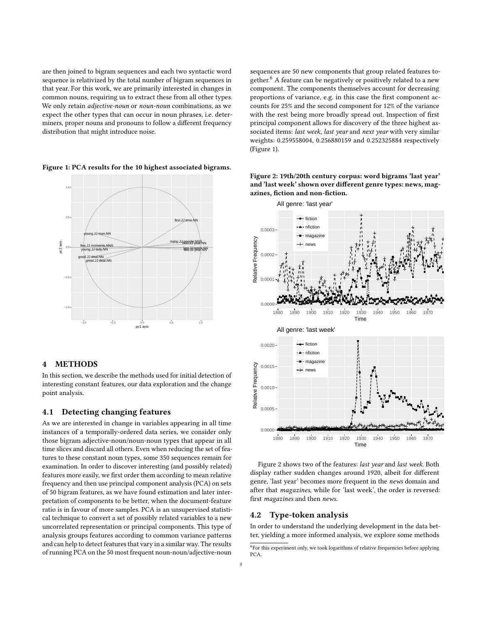are then joined to bigram sequences and each two syntactic word sequence is relativized by the total number of bigram sequences in that year. For this work, we are primarily interested in changes in common nouns, requiring us to extract these from all other types. We only retain adjective-noun or noun-noun combinations, as we expect the other types that can occur in noun phrases, i.e. determiners, proper nouns and pronouns to follow a different frequency distribution that might introduce noise.

<span id="page-2-2"></span>Figure 1: PCA results for the 10 highest associated bigrams.



#### <span id="page-2-0"></span>4 METHODS

In this section, we describe the methods used for initial detection of interesting constant features, our data exploration and the change point analysis.

#### <span id="page-2-4"></span>4.1 Detecting changing features

As we are interested in change in variables appearing in all time instances of a temporally-ordered data series, we consider only those bigram adjective-noun/noun-noun types that appear in all time slices and discard all others. Even when reducing the set of features to these constant noun types, some 350 sequences remain for examination. In order to discover interesting (and possibly related) features more easily, we first order them according to mean relative frequency and then use principal component analysis (PCA) on sets of 50 bigram features, as we have found estimation and later interpretation of components to be better, when the document-feature ratio is in favour of more samples. PCA is an unsupervised statistical technique to convert a set of possibly related variables to a new uncorrelated representation or principal components. This type of analysis groups features according to common variance patterns and can help to detect features that vary in a similar way. The results of running PCA on the 50 most frequent noun-noun/adjective-noun

sequences are 50 new components that group related features to-gether.<sup>[6](#page-2-1)</sup> A feature can be negatively or positively related to a new component. The components themselves account for decreasing proportions of variance, e.g. in this case the first component accounts for 25% and the second component for 12% of the variance with the rest being more broadly spread out. Inspection of first principal component allows for discovery of the three highest associated items: last week, last year and next year with very similar weights: 0.259558004, 0.256880159 and 0.252325884 respectively (Figure [1\)](#page-2-2).



<span id="page-2-3"></span>Figure 2: 19th/20th century corpus: word bigrams 'last year' and 'last week' shown over different genre types: news, magazines, fiction and non-fiction.

Figure [2](#page-2-3) shows two of the features: last year and last week. Both display rather sudden changes around 1920, albeit for different genre, 'last year' becomes more frequent in the news domain and after that magazines, while for 'last week', the order is reversed: first magazines and then news.

#### 4.2 Type-token analysis

In order to understand the underlying development in the data better, yielding a more informed analysis, we explore some methods

<span id="page-2-1"></span> ${}^{6}$ For this experiment only, we took logarithms of relative frequencies before applying PCA.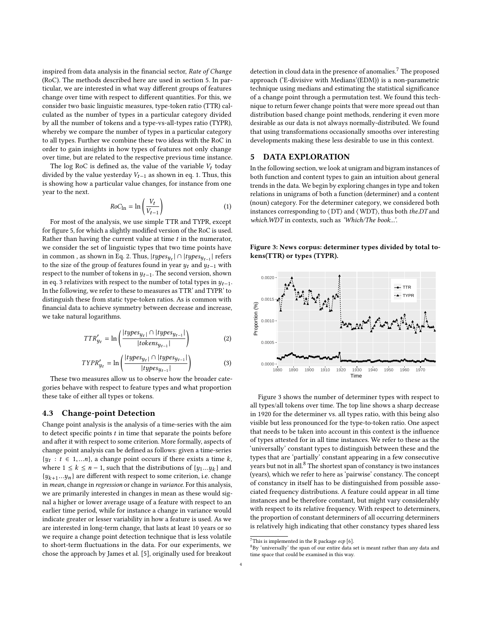inspired from data analysis in the financial sector, Rate of Change (RoC). The methods described here are used in section [5.](#page-3-0) In particular, we are interested in what way different groups of features change over time with respect to different quantities. For this, we consider two basic linguistic measures, type-token ratio (TTR) calculated as the number of types in a particular category divided by all the number of tokens and a type-vs-all-types ratio (TYPR), whereby we compare the number of types in a particular category to all types. Further we combine these two ideas with the RoC in order to gain insights in how types of features not only change over time, but are related to the respective previous time instance.

The log RoC is defined as, the value of the variable  $V_t$  today divided by the value yesterday  $V_{t-1}$  as shown in eq. [1.](#page-3-1) Thus, this is showing how a particular value changes, for instance from one year to the next.

<span id="page-3-1"></span>
$$
RoC_{\text{ln}} = \ln\left(\frac{V_t}{V_{t-1}}\right)
$$
 (1)  
For most of the analysis, we use simple TTR and TYPR, except

for figure [5,](#page-4-1) for which a slightly modified version of the RoC is used. Rather than having the current value at time  $t$  in the numerator, we consider the set of linguistic types that two time points have in common, as shown in Eq. [2.](#page-3-2) Thus,  $|types_{yt}| \cap |types_{yt-1}|$  refers to the size of the group of features found in year  $y_t$  and  $y_{t-1}$  with respect to the number of tokens in  $y_{t-1}$ . The second version, shown in eq. [3](#page-3-3) relativizes with respect to the number of total types in  $y_{t-1}$ . In the following, we refer to these to measures as TTR' and TYPR' to distinguish these from static type-token ratios. As is common with financial data to achieve symmetry between decrease and increase, we take natural logarithms.

<span id="page-3-3"></span><span id="page-3-2"></span>
$$
TTR'_{y_t} = \ln\left(\frac{|types_{y_t}| \cap |types_{y_{t-1}}|}{|token_{y_{t-1}}|}\right) \tag{2}
$$

$$
TYPR'_{y_t} = \ln\left(\frac{|types_{y_t} \cap |types_{y_{t-1}}|}{|types_{y_{t-1}}|}\right)
$$
(3)  
These two measures allow us to observe how the broader cate-

gories behave with respect to feature types and what proportion these take of either all types or tokens.

#### 4.3 Change-point Detection

Change point analysis is the analysis of a time-series with the aim to detect specific points  $t$  in time that separate the points before and after it with respect to some criterion. More formally, aspects of change point analysis can be defined as follows: given a time-series {*y<sub>t</sub>* : *t* ∈ 1,...*n*}, a change point occurs if there exists a time *k*, where 1 ≤ *k* ≤ *n* − 1 such that the distributions of *lu*, *u* \ and where  $1 \leq k \leq n-1$ , such that the distributions of  $\{y_1...y_k\}$  and  $\{y_1...y_k\}$  are different with respect to some criterion i.e. change  ${y_{k+1}...y_n}$  are different with respect to some criterion, i.e. change<br>in mean change in regression or change in variance For this analysis in mean, change in regression or change in variance. For this analysis, we are primarily interested in changes in mean as these would signal a higher or lower average usage of a feature with respect to an earlier time period, while for instance a change in variance would indicate greater or lesser variability in how a feature is used. As we are interested in long-term change, that lasts at least 10 years or so we require a change point detection technique that is less volatile to short-term fluctuations in the data. For our experiments, we chose the approach by James et al. [\[5\]](#page-7-9), originally used for breakout

detection in cloud data in the presence of anomalies.<sup>[7](#page-3-4)</sup> The proposed approach ('E-divisive with Medians'(EDM)) is a non-parametric technique using medians and estimating the statistical significance of a change point through a permutation test. We found this technique to return fewer change points that were more spread out than distribution based change point methods, rendering it even more desirable as our data is not always normally-distributed. We found that using transformations occasionally smooths over interesting developments making these less desirable to use in this context.

### <span id="page-3-0"></span>5 DATA EXPLORATION

In the following section, we look at unigram and bigram instances of both function and content types to gain an intuition about general trends in the data. We begin by exploring changes in type and token relations in unigrams of both a function (determiner) and a content (noun) category. For the determiner category, we considered both instances corresponding to ⟨ DT⟩ and ⟨ WDT⟩, thus both the.DT and which.WDT in contexts, such as 'Which/The book...'.

<span id="page-3-5"></span>Figure 3: News corpus: determiner types divided by total tokens(TTR) or types (TYPR).



Figure [3](#page-3-5) shows the number of determiner types with respect to all types/all tokens over time. The top line shows a sharp decrease in 1920 for the determiner vs. all types ratio, with this being also visible but less pronounced for the type-to-token ratio. One aspect that needs to be taken into account in this context is the influence of types attested for in all time instances. We refer to these as the 'universally' constant types to distinguish between these and the types that are 'partially' constant appearing in a few consecutive years but not in all.<sup>[8](#page-3-6)</sup> The shortest span of constancy is two instances (years), which we refer to here as 'pairwise' constancy. The concept of constancy in itself has to be distinguished from possible associated frequency distributions. A feature could appear in all time instances and be therefore constant, but might vary considerably with respect to its relative frequency. With respect to determiners, the proportion of constant determiners of all occurring determiners is relatively high indicating that other constancy types shared less

<span id="page-3-4"></span> $^7\mathrm{This}$  is implemented in the R package  $ecp$  [\[6\]](#page-7-10).

<span id="page-3-6"></span> $8By$  'universally' the span of our entire data set is meant rather than any data and time space that could be examined in this way.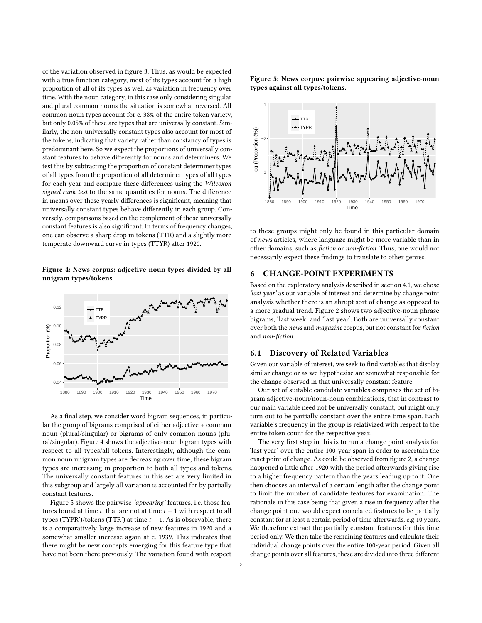of the variation observed in figure [3.](#page-3-5) Thus, as would be expected with a true function category, most of its types account for a high proportion of all of its types as well as variation in frequency over time. With the noun category, in this case only considering singular and plural common nouns the situation is somewhat reversed. All common noun types account for c. 38% of the entire token variety, but only 0.05% of these are types that are universally constant. Similarly, the non-universally constant types also account for most of the tokens, indicating that variety rather than constancy of types is predominant here. So we expect the proportions of universally constant features to behave differently for nouns and determiners. We test this by subtracting the proportion of constant determiner types of all types from the proportion of all determiner types of all types for each year and compare these differences using the Wilcoxon signed rank test to the same quantities for nouns. The difference in means over these yearly differences is significant, meaning that universally constant types behave differently in each group. Conversely, comparisons based on the complement of those universally constant features is also significant. In terms of frequency changes, one can observe a sharp drop in tokens (TTR) and a slightly more temperate downward curve in types (TTYR) after 1920.

<span id="page-4-2"></span>Figure 4: News corpus: adjective-noun types divided by all unigram types/tokens.



As a final step, we consider word bigram sequences, in particular the group of bigrams comprised of either adjective + common noun (plural/singular) or bigrams of only common nouns (plural/singular). Figure [4](#page-4-2) shows the adjective-noun bigram types with respect to all types/all tokens. Interestingly, although the common noun unigram types are decreasing over time, these bigram types are increasing in proportion to both all types and tokens. The universally constant features in this set are very limited in this subgroup and largely all variation is accounted for by partially constant features.

Figure [5](#page-4-1) shows the pairwise 'appearing' features, i.e. those features found at time  $t$ , that are not at time  $t - 1$  with respect to all types (TYPR')/tokens (TTR') at time  $t - 1$ . As is observable, there is a comparatively large increase of new features in 1920 and a somewhat smaller increase again at c. 1939. This indicates that there might be new concepts emerging for this feature type that have not been there previously. The variation found with respect <span id="page-4-1"></span>Figure 5: News corpus: pairwise appearing adjective-noun types against all types/tokens.



to these groups might only be found in this particular domain of news articles, where language might be more variable than in other domains, such as fiction or non-fiction. Thus, one would not necessarily expect these findings to translate to other genres.

# <span id="page-4-0"></span>6 CHANGE-POINT EXPERIMENTS

Based on the exploratory analysis described in section [4.1,](#page-2-4) we chose 'last year' as our variable of interest and determine by change point analysis whether there is an abrupt sort of change as opposed to a more gradual trend. Figure [2](#page-2-3) shows two adjective-noun phrase bigrams, 'last week' and 'last year'. Both are universally constant over both the news and magazine corpus, but not constant for fiction and non-fiction.

## 6.1 Discovery of Related Variables

Given our variable of interest, we seek to find variables that display similar change or as we hypothesise are somewhat responsible for the change observed in that universally constant feature.

Our set of suitable candidate variables comprises the set of bigram adjective-noun/noun-noun combinations, that in contrast to our main variable need not be universally constant, but might only turn out to be partially constant over the entire time span. Each variable's frequency in the group is relativized with respect to the entire token count for the respective year.

The very first step in this is to run a change point analysis for 'last year' over the entire 100-year span in order to ascertain the exact point of change. As could be observed from figure [2,](#page-2-3) a change happened a little after 1920 with the period afterwards giving rise to a higher frequency pattern than the years leading up to it. One then chooses an interval of a certain length after the change point to limit the number of candidate features for examination. The rationale in this case being that given a rise in frequency after the change point one would expect correlated features to be partially constant for at least a certain period of time afterwards, e.g 10 years. We therefore extract the partially constant features for this time period only. We then take the remaining features and calculate their individual change points over the entire 100-year period. Given all change points over all features, these are divided into three different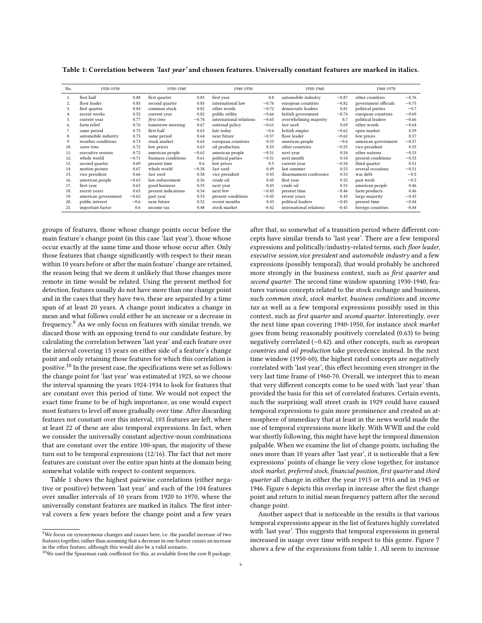| No. | 1920-1930           |         | 1930-1940           |         | 1940-1950               |         | 1950-1960               |         | 1960-1970            |         |
|-----|---------------------|---------|---------------------|---------|-------------------------|---------|-------------------------|---------|----------------------|---------|
| 1.  | first half          | 0.88    | first quarter       | 0.85    | first year              | 0.8     | automobile industry     | $-0.87$ | other countries      | $-0.76$ |
| 2.  | floor leader        | 0.85    | second quarter      | 0.83    | international law       | $-0.76$ | european countries      | $-0.82$ | government officials | $-0.75$ |
| 3.  | first quarter       | 0.84    | common stock        | 0.82    | other words             | $-0.72$ | democratic leaders      | 0.81    | political parties    | $-0.7$  |
| 4.  | recent weeks        | 0.55    | current year        | 0.82    | public utility          | $-0.66$ | british government      | $-0.74$ | european countries   | $-0.69$ |
| 5.  | current year        | 0.77    | first time          | $-0.74$ | international relations | $-0.65$ | overwhelming majority   | 0.7     | political leaders    | $-0.66$ |
| 6.  | farm relief         | 0.76    | tomorrow morning    | 0.67    | national policy         | $-0.61$ | last week               | 0.69    | other words          | $-0.64$ |
| 7.  | same period         | 0.75    | first half          | 0.65    | late today              | $-0.6$  | british empire          | $-0.62$ | open market          | 0.59    |
| 8.  | automobile industry | 0.75    | same period         | 0.64    | near future             | $-0.57$ | floor leader            | $-0.62$ | low prices           | 0.57    |
| 9.  | weather conditions  | 0.73    | stock market        | 0.63    | european countries      | 0.53    | american people         | $-0.6$  | american government  | $-0.57$ |
| 10. | same time           | 0.72    | low prices          | 0.63    | oil production          | 0.53    | other countries         | $-0.55$ | vice president       | 0.55    |
| 11. | executive session   | 0.72    | american people     | $-0.62$ | american people         | $-0.51$ | next year               | 0.54    | other nations        | $-0.53$ |
| 12. | whole world         | $-0.71$ | business conditions | 0.61    | political parties       | $-0.51$ | next month              | 0.54    | present conditions   | $-0.53$ |
| 13. | second quarter      | 0.69    | present time        | 0.6     | low prices              | 0.5     | current year            | $-0.54$ | third quarter        | 0.51    |
| 14. | motion picture      | 0.67    | whole world         | $-0.58$ | last week               | 0.49    | last summer             | 0.53    | several occasions    | $-0.51$ |
| 15. | vice president      | 0.66    | last week           | 0.58    | vice president          | 0.45    | disarmament conference  | 0.53    | war debt             | $-0.5$  |
| 16. | american people     | $-0.65$ | law enforcement     | 0.56    | crude oil               | 0.45    | first year              | 0.52    | past week            | $-0.5$  |
| 17. | first year          | 0.65    | good business       | 0.55    | next year               | 0.45    | crude oil               | 0.51    | american people      | 0.46    |
| 18. | recent years        | 0.63    | present indications | 0.54    | next few                | $-0.45$ | present time            | $-0.46$ | farm products        | 0.46    |
| 19. | american government | $-0.62$ | past year           | 0.53    | present conditions      | $-0.45$ | recent years            | 0.45    | large majority       | $-0.45$ |
| 20. | public interest     | $-0.6$  | near future         | 0.52    | recent months           | 0.43    | political leaders       | $-0.45$ | present time         | $-0.44$ |
| 21. | important factor    | 0.6     | income tax          | 0.48    | stock market            | $-0.42$ | international relations | $-0.45$ | foreign countries    | $-0.44$ |

<span id="page-5-2"></span>Table 1: Correlation between 'last year' and chosen features. Universally constant features are marked in italics.

groups of features, those whose change points occur before the main feature's change point (in this case 'last year'), those whose occur exactly at the same time and those whose occur after. Only those features that change significantly with respect to their mean within 10 years before or after the main feature' change are retained, the reason being that we deem it unlikely that those changes more remote in time would be related. Using the present method for detection, features usually do not have more than one change point and in the cases that they have two, these are separated by a time span of at least 20 years. A change point indicates a change in mean and what follows could either be an increase or a decrease in frequency.[9](#page-5-0) As we only focus on features with similar trends, we discard those with an opposing trend to our candidate feature, by calculating the correlation between 'last year' and each feature over the interval covering 15 years on either side of a feature's change point and only retaining those features for which this correlation is positive.[10](#page-5-1) In the present case, the specifications were set as follows: the change point for 'last year' was estimated at 1923, so we choose the interval spanning the years 1924-1934 to look for features that are constant over this period of time. We would not expect the exact time frame to be of high importance, as one would expect most features to level off more gradually over time. After discarding features not constant over this interval, 103 features are left, where at least 22 of these are also temporal expressions. In fact, when we consider the universally constant adjective-noun combinations that are constant over the entire 100-span, the majority of these turn out to be temporal expressions (12/16). The fact that not more features are constant over the entire span hints at the domain being somewhat volatile with respect to content sequences.

Table [1](#page-5-2) shows the highest pairwise correlations (either negative or positive) between 'last year' and each of the 104 features over smaller intervals of 10 years from 1920 to 1970, where the universally constant features are marked in italics. The first interval covers a few years before the change point and a few years

after that, so somewhat of a transition period where different concepts have similar trends to 'last year'. There are a few temporal expressions and politically/industry-related terms, such floor leader, executive session,vice president and automobile industry and a few expressions (possibly temporal), that would probably be anchored more strongly in the business context, such as first quarter and second quarter. The second time window spanning 1930-1940, features various concepts related to the stock exchange and business, such common stock, stock market, business conditions and income tax as well as a few temporal expressions possibly used in this context, such as first quarter and second quarter. Interestingly, over the next time span covering 1940-1950, for instance stock market goes from being reasonably positively correlated (0.63) to being negatively correlated (−0.42). and other concepts, such as european countries and oil production take precedence instead. In the next time window (1950-60), the highest rated concepts are negatively correlated with 'last year', this effect becoming even stronger in the very last time frame of 1960-70. Overall, we interpret this to mean that very different concepts come to be used with 'last year' than provided the basis for this set of correlated features. Certain events, such the surprising wall street crash in 1929 could have caused temporal expressions to gain more prominence and created an atmosphere of immediacy that at least in the news world made the use of temporal expressions more likely. With WWII and the cold war shortly following, this might have kept the temporal dimension palpable. When we examine the list of change points, including the ones more than 10 years after 'last year', it is noticeable that a few expressions' points of change lie very close together, for instance stock market, preferred stock, financial position, first quarter and third quarter all change in either the year 1915 or 1916 and in 1945 or 1946. Figure [6](#page-6-1) depicts this overlap in increase after the first change point and return to initial mean frequency pattern after the second change point.

Another aspect that is noticeable in the results is that various temporal expressions appear in the list of features highly correlated with 'last year'. This suggests that temporal expressions in general increased in usage over time with respect to this genre. Figure [7](#page-6-2) shows a few of the expressions from table [1.](#page-5-2) All seem to increase

<span id="page-5-0"></span><sup>&</sup>lt;sup>9</sup>We focus on synonymous changes and causes here, i.e. the parallel increase of two features together, rather than assuming that a decrease in one feature causes an increase in the other feature, although this would also be a valid scenario. <sup>10</sup>We used the Spearman rank coefficient for this, as available from the core R package.

<span id="page-5-1"></span>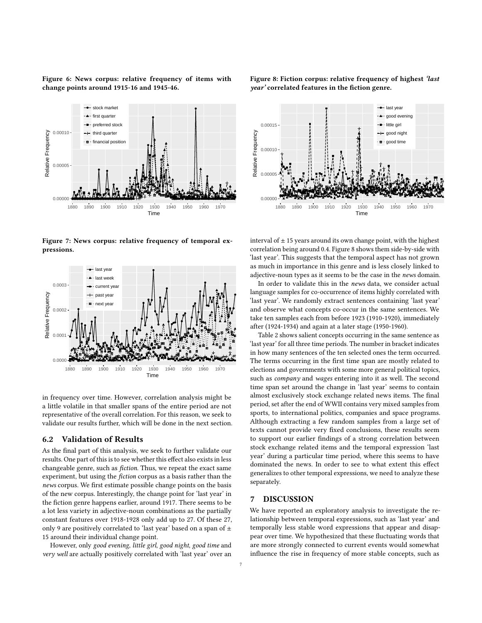<span id="page-6-1"></span>Figure 6: News corpus: relative frequency of items with change points around 1915-16 and 1945-46.

<span id="page-6-2"></span>

●

●

●

●

● ● ●

●

●●●● ● ●●● ●●● ● ●

●● ● ● ●

●

● ● ● ●●● ● ● ●● ● ●●●

●

●

●

0.00000 2.5. AVAILABLE ADAPTER TO THE RESIDENCE OF A RESIDENCE OF A RESIDENCE OF A RESIDENCE OF A RESIDENCE OF A RESIDENCE OF A RESIDENCE OF A RESIDENCE OF A RESIDENCE OF A RESIDENCE OF A RESIDENCE OF A RESIDENCE OF A RESID

1880 1890 1900 1910 1920 1930 1940 1950 1960 1970 Time

● ● ● ● ● ●



in frequency over time. However, correlation analysis might be a little volatile in that smaller spans of the entire period are not representative of the overall correlation. For this reason, we seek to validate our results further, which will be done in the next section.

#### 6.2 Validation of Results

● ● ● ● ●●

0.00005

Relative Frequency

Relative Frequency

0.00010

●

●

tock marke first quarter rred stock hird quarter financial position

> ● ● ● ● ● ● ● ●

● ●●

As the final part of this analysis, we seek to further validate our results. One part of this is to see whether this effect also exists in less changeable genre, such as fiction. Thus, we repeat the exact same experiment, but using the fiction corpus as a basis rather than the news corpus. We first estimate possible change points on the basis of the new corpus. Interestingly, the change point for 'last year' in the fiction genre happens earlier, around 1917. There seems to be a lot less variety in adjective-noun combinations as the partially constant features over 1918-1928 only add up to 27. Of these 27, only 9 are positively correlated to 'last year' based on a span of  $\pm$ 15 around their individual change point.

However, only good evening, little girl, good night, good time and very well are actually positively correlated with 'last year' over an



<span id="page-6-3"></span>Figure 8: Fiction corpus: relative frequency of highest 'last year' correlated features in the fiction genre.

interval of  $\pm$  15 years around its own change point, with the highest correlation being around 0.4. Figure [8](#page-6-3) shows them side-by-side with 'last year'. This suggests that the temporal aspect has not grown as much in importance in this genre and is less closely linked to adjective-noun types as it seems to be the case in the news domain.

In order to validate this in the news data, we consider actual language samples for co-occurrence of items highly correlated with 'last year'. We randomly extract sentences containing 'last year' and observe what concepts co-occur in the same sentences. We take ten samples each from before 1923 (1910-1920), immediately after (1924-1934) and again at a later stage (1950-1960).

Table [2](#page-7-11) shows salient concepts occurring in the same sentence as 'last year' for all three time periods. The number in bracket indicates in how many sentences of the ten selected ones the term occurred. The terms occurring in the first time span are mostly related to elections and governments with some more general political topics, such as company and wages entering into it as well. The second time span set around the change in 'last year' seems to contain almost exclusively stock exchange related news items. The final period, set after the end of WWII contains very mixed samples from sports, to international politics, companies and space programs. Although extracting a few random samples from a large set of texts cannot provide very fixed conclusions, these results seem to support our earlier findings of a strong correlation between stock exchange related items and the temporal expression 'last year' during a particular time period, where this seems to have dominated the news. In order to see to what extent this effect generalizes to other temporal expressions, we need to analyze these separately.

## <span id="page-6-0"></span>7 DISCUSSION

We have reported an exploratory analysis to investigate the relationship between temporal expressions, such as 'last year' and temporally less stable word expressions that appear and disappear over time. We hypothesized that these fluctuating words that are more strongly connected to current events would somewhat influence the rise in frequency of more stable concepts, such as